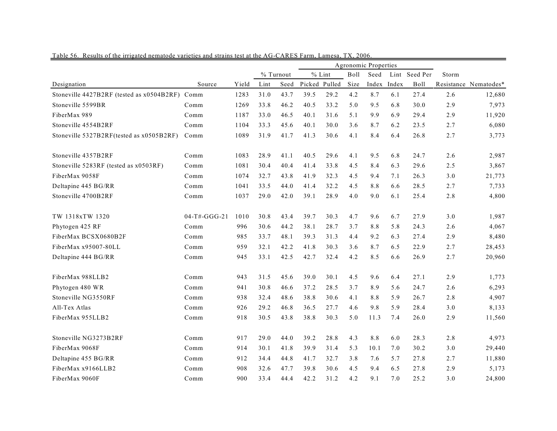|                                                |                 |       |           |      |        | Agronomic Properties |             |       |       |               |       |                       |
|------------------------------------------------|-----------------|-------|-----------|------|--------|----------------------|-------------|-------|-------|---------------|-------|-----------------------|
|                                                |                 |       | % Turnout |      |        | $%$ Lint             | <b>Boll</b> | Seed  |       | Lint Seed Per | Storm |                       |
| Designation                                    | Source          | Yield | Lint      | Seed | Picked | Pulled               | Size        | Index | Index | Boll          |       | Resistance Nematodes* |
| Stoneville 4427B2RF (tested as x0504B2RF) Comm |                 | 1283  | 31.0      | 43.7 | 39.5   | 29.2                 | 4.2         | 8.7   | 6.1   | 27.4          | 2.6   | 12,680                |
| Stoneville 5599BR                              | Comm            | 1269  | 33.8      | 46.2 | 40.5   | 33.2                 | 5.0         | 9.5   | 6.8   | 30.0          | 2.9   | 7,973                 |
| FiberMax 989                                   | Comm            | 1187  | 33.0      | 46.5 | 40.1   | 31.6                 | 5.1         | 9.9   | 6.9   | 29.4          | 2.9   | 11,920                |
| Stoneville 4554B2RF                            | Comm            | 1104  | 33.3      | 45.6 | 40.1   | 30.0                 | 3.6         | 8.7   | 6.2   | 23.5          | 2.7   | 6,080                 |
| Stoneville 5327B2RF(tested as x0505B2RF)       | Comm            | 1089  | 31.9      | 41.7 | 41.3   | 30.6                 | 4.1         | 8.4   | 6.4   | 26.8          | 2.7   | 3,773                 |
| Stoneville 4357B2RF                            | Comm            | 1083  | 28.9      | 41.1 | 40.5   | 29.6                 | 4.1         | 9.5   | 6.8   | 24.7          | 2.6   | 2,987                 |
| Stoneville 5283RF (tested as x0503RF)          | Comm            | 1081  | 30.4      | 40.4 | 41.4   | 33.8                 | 4.5         | 8.4   | 6.3   | 29.6          | 2.5   | 3,867                 |
| FiberMax 9058F                                 | Comm            | 1074  | 32.7      | 43.8 | 41.9   | 32.3                 | 4.5         | 9.4   | 7.1   | 26.3          | 3.0   | 21,773                |
| Deltapine 445 BG/RR                            | Comm            | 1041  | 33.5      | 44.0 | 41.4   | 32.2                 | 4.5         | 8.8   | 6.6   | 28.5          | 2.7   | 7,733                 |
| Stoneville 4700B2RF                            | Comm            | 1037  | 29.0      | 42.0 | 39.1   | 28.9                 | 4.0         | 9.0   | 6.1   | 25.4          | 2.8   | 4,800                 |
| TW 1318xTW 1320                                | $04-T$ #-GGG-21 | 1010  | 30.8      | 43.4 | 39.7   | 30.3                 | 4.7         | 9.6   | 6.7   | 27.9          | 3.0   | 1,987                 |
| Phytogen 425 RF                                | Comm            | 996   | 30.6      | 44.2 | 38.1   | 28.7                 | 3.7         | 8.8   | 5.8   | 24.3          | 2.6   | 4,067                 |
| FiberMax BCSX0680B2F                           | Comm            | 985   | 33.7      | 48.1 | 39.3   | 31.3                 | 4.4         | 9.2   | 6.3   | 27.4          | 2.9   | 8,480                 |
| FiberMax x95007-80LL                           | Comm            | 959   | 32.1      | 42.2 | 41.8   | 30.3                 | 3.6         | 8.7   | 6.5   | 22.9          | 2.7   | 28,453                |
| Deltapine 444 BG/RR                            | Comm            | 945   | 33.1      | 42.5 | 42.7   | 32.4                 | 4.2         | 8.5   | 6.6   | 26.9          | 2.7   | 20,960                |
| FiberMax 988LLB2                               | Comm            | 943   | 31.5      | 45.6 | 39.0   | 30.1                 | 4.5         | 9.6   | 6.4   | 27.1          | 2.9   | 1,773                 |
| Phytogen 480 WR                                | Comm            | 941   | 30.8      | 46.6 | 37.2   | 28.5                 | 3.7         | 8.9   | 5.6   | 24.7          | 2.6   | 6,293                 |
| Stoneville NG3550RF                            | Comm            | 938   | 32.4      | 48.6 | 38.8   | 30.6                 | 4.1         | 8.8   | 5.9   | 26.7          | 2.8   | 4,907                 |
| All-Tex Atlas                                  | Comm            | 926   | 29.2      | 46.8 | 36.5   | 27.7                 | 4.6         | 9.8   | 5.9   | 28.4          | 3.0   | 8,133                 |
| FiberMax 955LLB2                               | Comm            | 918   | 30.5      | 43.8 | 38.8   | 30.3                 | 5.0         | 11.3  | 7.4   | 26.0          | 2.9   | 11,560                |
| Stoneville NG3273B2RF                          | Comm            | 917   | 29.0      | 44.0 | 39.2   | 28.8                 | 4.3         | 8.8   | 6.0   | 28.3          | 2.8   | 4,973                 |
| FiberMax 9068F                                 | Comm            | 914   | 30.1      | 41.8 | 39.9   | 31.4                 | 5.3         | 10.1  | 7.0   | 30.2          | 3.0   | 29,440                |
| Deltapine 455 BG/RR                            | Comm            | 912   | 34.4      | 44.8 | 41.7   | 32.7                 | 3.8         | 7.6   | 5.7   | 27.8          | 2.7   | 11,880                |
| FiberMax x9166LLB2                             | Comm            | 908   | 32.6      | 47.7 | 39.8   | 30.6                 | 4.5         | 9.4   | 6.5   | 27.8          | 2.9   | 5,173                 |
| FiberMax 9060F                                 | Comm            | 900   | 33.4      | 44.4 | 42.2   | 31.2                 | 4.2         | 9.1   | 7.0   | 25.2          | 3.0   | 24,800                |

Table 56. Results of the irrigated nematode varieties and strains test at the AG-CARES Farm, Lamesa, TX, 2006.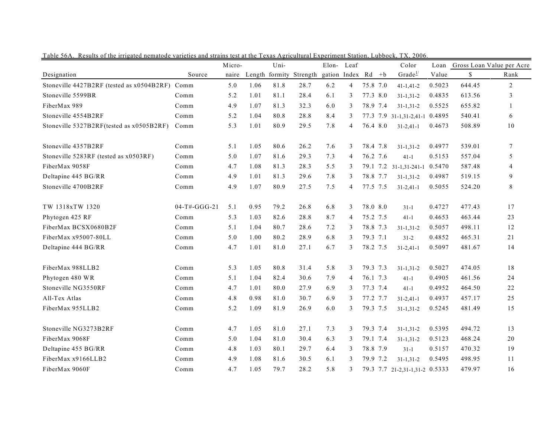|                                                |                | Micro- |      | Uni-           |          | Elon-        | Leaf           |          | Color                          | Loan   |        | Gross Loan Value per Acre |
|------------------------------------------------|----------------|--------|------|----------------|----------|--------------|----------------|----------|--------------------------------|--------|--------|---------------------------|
| Designation                                    | Source         | naire  |      | Length formity | Strength | gation Index |                | $Rd + b$ | Grade $1/$                     | Value  | \$     | Rank                      |
| Stoneville 4427B2RF (tested as x0504B2RF) Comm |                | 5.0    | 1.06 | 81.8           | 28.7     | 6.2          | 4              | 75.8 7.0 | $41 - 1, 41 - 2$               | 0.5023 | 644.45 | $\overline{2}$            |
| Stoneville 5599BR                              | Comm           | 5.2    | 1.01 | 81.1           | 28.4     | 6.1          | 3              | 77.3 8.0 | $31 - 1, 31 - 2$               | 0.4835 | 613.56 | 3                         |
| FiberMax 989                                   | Comm           | 4.9    | 1.07 | 81.3           | 32.3     | 6.0          | 3              | 78.9 7.4 | $31 - 1, 31 - 2$               | 0.5525 | 655.82 | $\mathbf{1}$              |
| Stoneville 4554B2RF                            | Comm           | 5.2    | 1.04 | 80.8           | 28.8     | 8.4          | 3              |          | 77.3 7.9 31-1,31-2,41-1 0.4895 |        | 540.41 | 6                         |
| Stoneville 5327B2RF(tested as x0505B2RF)       | Comm           | 5.3    | 1.01 | 80.9           | 29.5     | 7.8          | 4              | 76.4 8.0 | $31 - 2,41 - 1$                | 0.4673 | 508.89 | 10                        |
| Stoneville 4357B2RF                            | Comm           | 5.1    | 1.05 | 80.6           | 26.2     | 7.6          | 3              | 78.4 7.8 | $31 - 1, 31 - 2$               | 0.4977 | 539.01 | $\tau$                    |
| Stoneville 5283RF (tested as x0503RF)          | Comm           | 5.0    | 1.07 | 81.6           | 29.3     | 7.3          | 4              | 76.2 7.6 | $41 - 1$                       | 0.5153 | 557.04 | 5                         |
| FiberMax 9058F                                 | Comm           | 4.7    | 1.08 | 81.3           | 28.3     | 5.5          | 3              |          | 79.1 7.2 31-1,31-241-1 0.5470  |        | 587.48 | $\overline{4}$            |
| Deltapine 445 BG/RR                            | Comm           | 4.9    | 1.01 | 81.3           | 29.6     | 7.8          | 3              | 78.8 7.7 | $31 - 1, 31 - 2$               | 0.4987 | 519.15 | 9                         |
| Stoneville 4700B2RF                            | Comm           | 4.9    | 1.07 | 80.9           | 27.5     | 7.5          | 4              | 77.5 7.5 | $31 - 2,41 - 1$                | 0.5055 | 524.20 | 8                         |
| TW 1318xTW 1320                                | $04-T#-GGG-21$ | 5.1    | 0.95 | 79.2           | 26.8     | 6.8          | 3              | 78.0 8.0 | $31 - 1$                       | 0.4727 | 477.43 | 17                        |
| Phytogen 425 RF                                | Comm           | 5.3    | 1.03 | 82.6           | 28.8     | 8.7          | 4              | 75.2 7.5 | $41 - 1$                       | 0.4653 | 463.44 | 23                        |
| FiberMax BCSX0680B2F                           | Comm           | 5.1    | 1.04 | 80.7           | 28.6     | 7.2          | 3              | 78.8 7.3 | $31 - 1, 31 - 2$               | 0.5057 | 498.11 | 12                        |
| FiberMax x95007-80LL                           | Comm           | 5.0    | 1.00 | 80.2           | 28.9     | 6.8          | 3              | 79.3 7.1 | $31 - 2$                       | 0.4852 | 465.31 | 21                        |
| Deltapine 444 BG/RR                            | Comm           | 4.7    | 1.01 | 81.0           | 27.1     | 6.7          | 3              | 78.2 7.5 | $31 - 2,41 - 1$                | 0.5097 | 481.67 | 14                        |
| FiberMax 988LLB2                               | Comm           | 5.3    | 1.05 | 80.8           | 31.4     | 5.8          | 3              | 79.3 7.3 | $31 - 1, 31 - 2$               | 0.5027 | 474.05 | 18                        |
| Phytogen 480 WR                                | Comm           | 5.1    | 1.04 | 82.4           | 30.6     | 7.9          | $\overline{4}$ | 76.1 7.3 | $41 - 1$                       | 0.4905 | 461.56 | 24                        |
| Stoneville NG3550RF                            | Comm           | 4.7    | 1.01 | 80.0           | 27.9     | 6.9          | 3              | 77.3 7.4 | $41 - 1$                       | 0.4952 | 464.50 | 22                        |
| All-Tex Atlas                                  | Comm           | 4.8    | 0.98 | 81.0           | 30.7     | 6.9          | 3              | 77.2 7.7 | $31 - 2,41 - 1$                | 0.4937 | 457.17 | 25                        |
| FiberMax 955LLB2                               | Comm           | 5.2    | 1.09 | 81.9           | 26.9     | 6.0          | 3              | 79.3 7.5 | $31 - 1, 31 - 2$               | 0.5245 | 481.49 | 15                        |
| Stoneville NG3273B2RF                          | Comm           | 4.7    | 1.05 | 81.0           | 27.1     | 7.3          | 3              | 79.3 7.4 | $31 - 1, 31 - 2$               | 0.5395 | 494.72 | 13                        |
| FiberMax 9068F                                 | Comm           | 5.0    | 1.04 | 81.0           | 30.4     | 6.3          | 3              | 79.1 7.4 | $31 - 1, 31 - 2$               | 0.5123 | 468.24 | 20                        |
| Deltapine 455 BG/RR                            | Comm           | 4.8    | 1.03 | 80.1           | 29.7     | 6.4          | 3              | 78.8 7.9 | $31-1$                         | 0.5157 | 470.32 | 19                        |
| FiberMax x9166LLB2                             | Comm           | 4.9    | 1.08 | 81.6           | 30.5     | 6.1          | 3              | 79.9 7.2 | $31 - 1, 31 - 2$               | 0.5495 | 498.95 | 11                        |
| FiberMax 9060F                                 | Comm           | 4.7    | 1.05 | 79.7           | 28.2     | 5.8          | 3              |          | 79.3 7.7 21-2,31-1,31-2 0.5333 |        | 479.97 | 16                        |

Table 56A. Results of the irrigated nematode varieties and strains test at the Texas Agricultural Experiment Station, Lubbock, TX, 2006.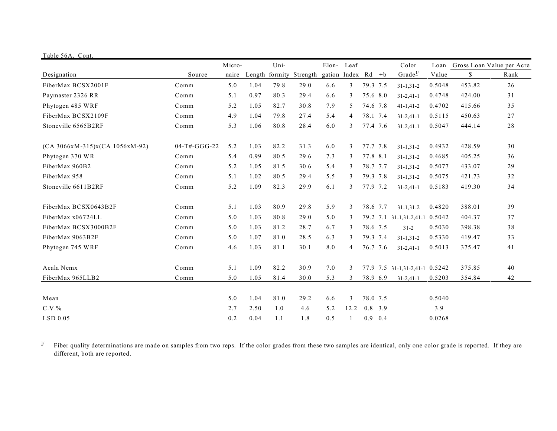| Table 56A. Cont.                 |                |        |      |                |          |                    |              |           |     |                                |        |        |                           |
|----------------------------------|----------------|--------|------|----------------|----------|--------------------|--------------|-----------|-----|--------------------------------|--------|--------|---------------------------|
|                                  |                | Micro- |      | Uni-           |          | Elon-              | Leaf         |           |     | Color                          | Loan   |        | Gross Loan Value per Acre |
| Designation                      | Source         | naire  |      | Length formity | Strength | gation Index Rd +b |              |           |     | Grade $\frac{1}{2}$            | Value  | \$     | Rank                      |
| FiberMax BCSX2001F               | Comm           | 5.0    | 1.04 | 79.8           | 29.0     | 6.6                | 3            | 79.3 7.5  |     | $31 - 1, 31 - 2$               | 0.5048 | 453.82 | 26                        |
| Paymaster 2326 RR                | Comm           | 5.1    | 0.97 | 80.3           | 29.4     | 6.6                | 3            | 75.6 8.0  |     | $31 - 2,41 - 1$                | 0.4748 | 424.00 | 31                        |
| Phytogen 485 WRF                 | Comm           | 5.2    | 1.05 | 82.7           | 30.8     | 7.9                | 5            | 74.6 7.8  |     | $41 - 1.41 - 2$                | 0.4702 | 415.66 | 35                        |
| FiberMax BCSX2109F               | Comm           | 4.9    | 1.04 | 79.8           | 27.4     | 5.4                | 4            | 78.1 7.4  |     | $31 - 2,41 - 1$                | 0.5115 | 450.63 | 27                        |
| Stoneville 6565B2RF              | Comm           | 5.3    | 1.06 | 80.8           | 28.4     | 6.0                | 3            | 77.4 7.6  |     | $31 - 2,41 - 1$                | 0.5047 | 444.14 | $2\sqrt{8}$               |
| $(CA 3066xM-315)x(CA 1056xM-92)$ | $04-T#-GGG-22$ | 5.2    | 1.03 | 82.2           | 31.3     | 6.0                | 3            | 77.7 7.8  |     | $31 - 1, 31 - 2$               | 0.4932 | 428.59 | 30                        |
| Phytogen 370 WR                  | Comm           | 5.4    | 0.99 | 80.5           | 29.6     | 7.3                | 3            | 77.8 8.1  |     | $31 - 1, 31 - 2$               | 0.4685 | 405.25 | 36                        |
| FiberMax 960B2                   | Comm           | 5.2    | 1.05 | 81.5           | 30.6     | 5.4                | 3            | 78.7 7.7  |     | $31 - 1, 31 - 2$               | 0.5077 | 433.07 | 29                        |
| FiberMax 958                     | Comm           | 5.1    | 1.02 | 80.5           | 29.4     | 5.5                | 3            | 79.3 7.8  |     | $31 - 1, 31 - 2$               | 0.5075 | 421.73 | 32                        |
| Stoneville 6611B2RF              | Comm           | 5.2    | 1.09 | 82.3           | 29.9     | 6.1                | 3            | 77.9 7.2  |     | $31 - 2,41 - 1$                | 0.5183 | 419.30 | 34                        |
| FiberMax BCSX0643B2F             | Comm           | 5.1    | 1.03 | 80.9           | 29.8     | 5.9                | 3            | 78.6 7.7  |     | $31 - 1, 31 - 2$               | 0.4820 | 388.01 | 39                        |
| FiberMax x06724LL                | Comm           | 5.0    | 1.03 | 80.8           | 29.0     | 5.0                | 3            | 79.2      |     | 7.1 31-1,31-2,41-1 0.5042      |        | 404.37 | 37                        |
| FiberMax BCSX3000B2F             | Comm           | 5.0    | 1.03 | 81.2           | 28.7     | 6.7                | 3            | 78.6 7.5  |     | $31 - 2$                       | 0.5030 | 398.38 | 38                        |
| FiberMax 9063B2F                 | Comm           | 5.0    | 1.07 | 81.0           | 28.5     | 6.3                | 3            | 79.3 7.4  |     | $31 - 1.31 - 2$                | 0.5330 | 419.47 | 33                        |
| Phytogen 745 WRF                 | Comm           | 4.6    | 1.03 | 81.1           | 30.1     | 8.0                | 4            | 76.7 7.6  |     | $31 - 2,41 - 1$                | 0.5013 | 375.47 | 41                        |
| Acala Nemx                       | Comm           | 5.1    | 1.09 | 82.2           | 30.9     | 7.0                | 3            |           |     | 77.9 7.5 31-1,31-2,41-1 0.5242 |        | 375.85 | 40                        |
| FiberMax 965LLB2                 | Comm           | 5.0    | 1.05 | 81.4           | 30.0     | 5.3                | 3            | 78.9 6.9  |     | $31 - 2,41 - 1$                | 0.5203 | 354.84 | 42                        |
| Mean                             |                | 5.0    | 1.04 | 81.0           | 29.2     | 6.6                | 3            | 78.0 7.5  |     |                                | 0.5040 |        |                           |
| $C.V.$ %                         |                | 2.7    | 2.50 | 1.0            | 4.6      | 5.2                | 12.2         | $0.8$ 3.9 |     |                                | 3.9    |        |                           |
| $LSD$ 0.05                       |                | 0.2    | 0.04 | 1.1            | 1.8      | 0.5                | $\mathbf{1}$ | 0.9       | 0.4 |                                | 0.0268 |        |                           |

Fiber quality determinations are made on samples from two reps. If the color grades from these two samples are identical, only one color grade is reported. If they are different, both are reported.